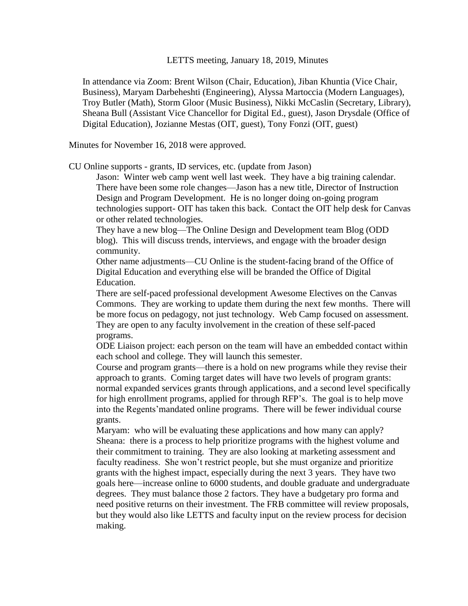LETTS meeting, January 18, 2019, Minutes

In attendance via Zoom: Brent Wilson (Chair, Education), Jiban Khuntia (Vice Chair, Business), Maryam Darbeheshti (Engineering), Alyssa Martoccia (Modern Languages), Troy Butler (Math), Storm Gloor (Music Business), Nikki McCaslin (Secretary, Library), Sheana Bull (Assistant Vice Chancellor for Digital Ed., guest), Jason Drysdale (Office of Digital Education), Jozianne Mestas (OIT, guest), Tony Fonzi (OIT, guest)

Minutes for November 16, 2018 were approved.

CU Online supports - grants, ID services, etc. (update from Jason)

Jason: Winter web camp went well last week. They have a big training calendar. There have been some role changes—Jason has a new title, Director of Instruction Design and Program Development. He is no longer doing on-going program technologies support- OIT has taken this back. Contact the OIT help desk for Canvas or other related technologies.

They have a new blog—The Online Design and Development team Blog (ODD blog). This will discuss trends, interviews, and engage with the broader design community.

Other name adjustments—CU Online is the student-facing brand of the Office of Digital Education and everything else will be branded the Office of Digital Education.

There are self-paced professional development Awesome Electives on the Canvas Commons. They are working to update them during the next few months. There will be more focus on pedagogy, not just technology. Web Camp focused on assessment. They are open to any faculty involvement in the creation of these self-paced programs.

ODE Liaison project: each person on the team will have an embedded contact within each school and college. They will launch this semester.

Course and program grants—there is a hold on new programs while they revise their approach to grants. Coming target dates will have two levels of program grants: normal expanded services grants through applications, and a second level specifically for high enrollment programs, applied for through RFP's. The goal is to help move into the Regents'mandated online programs. There will be fewer individual course grants.

Maryam: who will be evaluating these applications and how many can apply? Sheana: there is a process to help prioritize programs with the highest volume and their commitment to training. They are also looking at marketing assessment and faculty readiness. She won't restrict people, but she must organize and prioritize grants with the highest impact, especially during the next 3 years. They have two goals here—increase online to 6000 students, and double graduate and undergraduate degrees. They must balance those 2 factors. They have a budgetary pro forma and need positive returns on their investment. The FRB committee will review proposals, but they would also like LETTS and faculty input on the review process for decision making.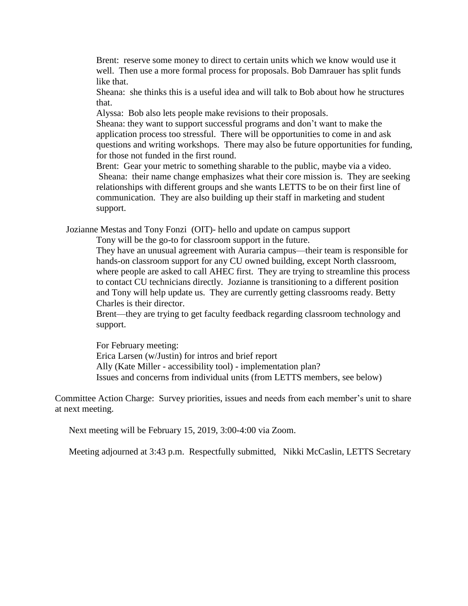Brent: reserve some money to direct to certain units which we know would use it well. Then use a more formal process for proposals. Bob Damrauer has split funds like that.

Sheana: she thinks this is a useful idea and will talk to Bob about how he structures that.

Alyssa: Bob also lets people make revisions to their proposals.

Sheana: they want to support successful programs and don't want to make the application process too stressful. There will be opportunities to come in and ask questions and writing workshops. There may also be future opportunities for funding, for those not funded in the first round.

Brent: Gear your metric to something sharable to the public, maybe via a video. Sheana: their name change emphasizes what their core mission is. They are seeking relationships with different groups and she wants LETTS to be on their first line of communication. They are also building up their staff in marketing and student support.

Jozianne Mestas and Tony Fonzi (OIT)- hello and update on campus support

Tony will be the go-to for classroom support in the future.

They have an unusual agreement with Auraria campus—their team is responsible for hands-on classroom support for any CU owned building, except North classroom, where people are asked to call AHEC first. They are trying to streamline this process to contact CU technicians directly. Jozianne is transitioning to a different position and Tony will help update us. They are currently getting classrooms ready. Betty Charles is their director.

Brent—they are trying to get faculty feedback regarding classroom technology and support.

For February meeting: Erica Larsen (w/Justin) for intros and brief report Ally (Kate Miller - accessibility tool) - implementation plan? Issues and concerns from individual units (from LETTS members, see below)

Committee Action Charge: Survey priorities, issues and needs from each member's unit to share at next meeting.

Next meeting will be February 15, 2019, 3:00-4:00 via Zoom.

Meeting adjourned at 3:43 p.m. Respectfully submitted, Nikki McCaslin, LETTS Secretary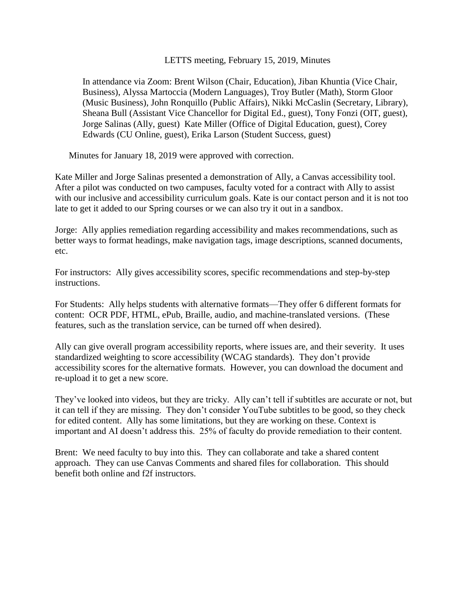#### LETTS meeting, February 15, 2019, Minutes

In attendance via Zoom: Brent Wilson (Chair, Education), Jiban Khuntia (Vice Chair, Business), Alyssa Martoccia (Modern Languages), Troy Butler (Math), Storm Gloor (Music Business), John Ronquillo (Public Affairs), Nikki McCaslin (Secretary, Library), Sheana Bull (Assistant Vice Chancellor for Digital Ed., guest), Tony Fonzi (OIT, guest), Jorge Salinas (Ally, guest) Kate Miller (Office of Digital Education, guest), Corey Edwards (CU Online, guest), Erika Larson (Student Success, guest)

Minutes for January 18, 2019 were approved with correction.

Kate Miller and Jorge Salinas presented a demonstration of Ally, a Canvas accessibility tool. After a pilot was conducted on two campuses, faculty voted for a contract with Ally to assist with our inclusive and accessibility curriculum goals. Kate is our contact person and it is not too late to get it added to our Spring courses or we can also try it out in a sandbox.

Jorge: Ally applies remediation regarding accessibility and makes recommendations, such as better ways to format headings, make navigation tags, image descriptions, scanned documents, etc.

For instructors: Ally gives accessibility scores, specific recommendations and step-by-step instructions.

For Students: Ally helps students with alternative formats—They offer 6 different formats for content: OCR PDF, HTML, ePub, Braille, audio, and machine-translated versions. (These features, such as the translation service, can be turned off when desired).

Ally can give overall program accessibility reports, where issues are, and their severity. It uses standardized weighting to score accessibility (WCAG standards). They don't provide accessibility scores for the alternative formats. However, you can download the document and re-upload it to get a new score.

They've looked into videos, but they are tricky. Ally can't tell if subtitles are accurate or not, but it can tell if they are missing. They don't consider YouTube subtitles to be good, so they check for edited content. Ally has some limitations, but they are working on these. Context is important and AI doesn't address this. 25% of faculty do provide remediation to their content.

Brent: We need faculty to buy into this. They can collaborate and take a shared content approach. They can use Canvas Comments and shared files for collaboration. This should benefit both online and f2f instructors.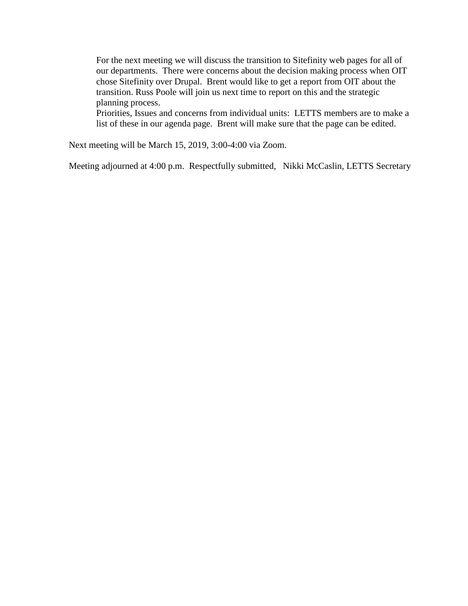For the next meeting we will discuss the transition to Sitefinity web pages for all of our departments. There were concerns about the decision making process when OIT chose Sitefinity over Drupal. Brent would like to get a report from OIT about the transition. Russ Poole will join us next time to report on this and the strategic planning process.

Priorities, Issues and concerns from individual units: LETTS members are to make a list of these in our agenda page. Brent will make sure that the page can be edited.

Next meeting will be March 15, 2019, 3:00-4:00 via Zoom.

Meeting adjourned at 4:00 p.m. Respectfully submitted, Nikki McCaslin, LETTS Secretary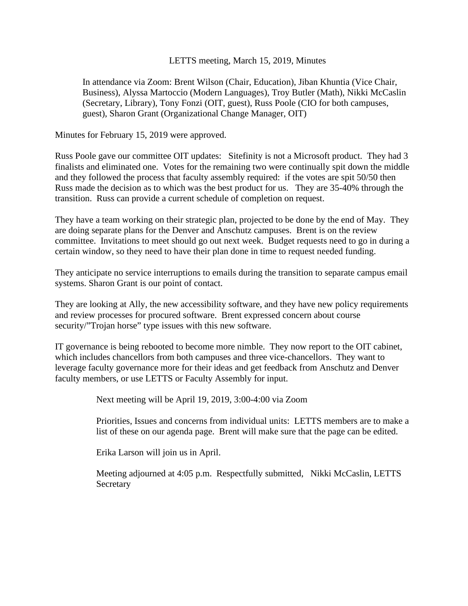### LETTS meeting, March 15, 2019, Minutes

In attendance via Zoom: Brent Wilson (Chair, Education), Jiban Khuntia (Vice Chair, Business), Alyssa Martoccio (Modern Languages), Troy Butler (Math), Nikki McCaslin (Secretary, Library), Tony Fonzi (OIT, guest), Russ Poole (CIO for both campuses, guest), Sharon Grant (Organizational Change Manager, OIT)

Minutes for February 15, 2019 were approved.

Russ Poole gave our committee OIT updates: Sitefinity is not a Microsoft product. They had 3 finalists and eliminated one. Votes for the remaining two were continually spit down the middle and they followed the process that faculty assembly required: if the votes are spit 50/50 then Russ made the decision as to which was the best product for us. They are 35-40% through the transition. Russ can provide a current schedule of completion on request.

They have a team working on their strategic plan, projected to be done by the end of May. They are doing separate plans for the Denver and Anschutz campuses. Brent is on the review committee. Invitations to meet should go out next week. Budget requests need to go in during a certain window, so they need to have their plan done in time to request needed funding.

They anticipate no service interruptions to emails during the transition to separate campus email systems. Sharon Grant is our point of contact.

They are looking at Ally, the new accessibility software, and they have new policy requirements and review processes for procured software. Brent expressed concern about course security/"Trojan horse" type issues with this new software.

IT governance is being rebooted to become more nimble. They now report to the OIT cabinet, which includes chancellors from both campuses and three vice-chancellors. They want to leverage faculty governance more for their ideas and get feedback from Anschutz and Denver faculty members, or use LETTS or Faculty Assembly for input.

Next meeting will be April 19, 2019, 3:00-4:00 via Zoom

Priorities, Issues and concerns from individual units: LETTS members are to make a list of these on our agenda page. Brent will make sure that the page can be edited.

Erika Larson will join us in April.

Meeting adjourned at 4:05 p.m. Respectfully submitted, Nikki McCaslin, LETTS Secretary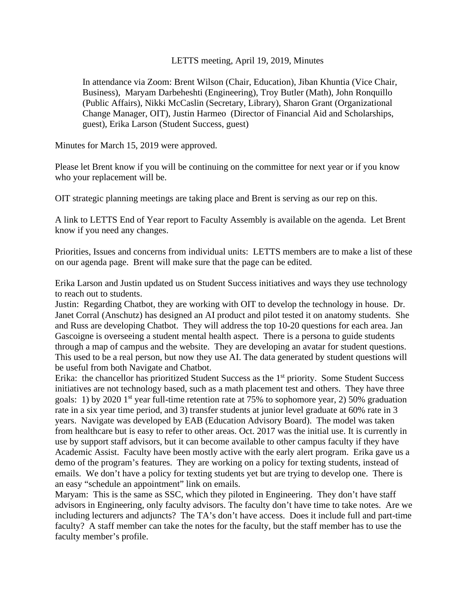### LETTS meeting, April 19, 2019, Minutes

In attendance via Zoom: Brent Wilson (Chair, Education), Jiban Khuntia (Vice Chair, Business), Maryam Darbeheshti (Engineering), Troy Butler (Math), John Ronquillo (Public Affairs), Nikki McCaslin (Secretary, Library), Sharon Grant (Organizational Change Manager, OIT), Justin Harmeo (Director of Financial Aid and Scholarships, guest), Erika Larson (Student Success, guest)

Minutes for March 15, 2019 were approved.

Please let Brent know if you will be continuing on the committee for next year or if you know who your replacement will be.

OIT strategic planning meetings are taking place and Brent is serving as our rep on this.

A link to LETTS End of Year report to Faculty Assembly is available on the agenda. Let Brent know if you need any changes.

Priorities, Issues and concerns from individual units: LETTS members are to make a list of these on our agenda page. Brent will make sure that the page can be edited.

Erika Larson and Justin updated us on Student Success initiatives and ways they use technology to reach out to students.

Justin: Regarding Chatbot, they are working with OIT to develop the technology in house. Dr. Janet Corral (Anschutz) has designed an AI product and pilot tested it on anatomy students. She and Russ are developing Chatbot. They will address the top 10-20 questions for each area. Jan Gascoigne is overseeing a student mental health aspect. There is a persona to guide students through a map of campus and the website. They are developing an avatar for student questions. This used to be a real person, but now they use AI. The data generated by student questions will be useful from both Navigate and Chatbot.

Erika: the chancellor has prioritized Student Success as the 1<sup>st</sup> priority. Some Student Success initiatives are not technology based, such as a math placement test and others. They have three goals: 1) by 2020 1<sup>st</sup> year full-time retention rate at 75% to sophomore year, 2) 50% graduation rate in a six year time period, and 3) transfer students at junior level graduate at 60% rate in 3 years. Navigate was developed by EAB (Education Advisory Board). The model was taken from healthcare but is easy to refer to other areas. Oct. 2017 was the initial use. It is currently in use by support staff advisors, but it can become available to other campus faculty if they have Academic Assist. Faculty have been mostly active with the early alert program. Erika gave us a demo of the program's features. They are working on a policy for texting students, instead of emails. We don't have a policy for texting students yet but are trying to develop one. There is an easy "schedule an appointment" link on emails.

Maryam: This is the same as SSC, which they piloted in Engineering. They don't have staff advisors in Engineering, only faculty advisors. The faculty don't have time to take notes. Are we including lecturers and adjuncts? The TA's don't have access. Does it include full and part-time faculty? A staff member can take the notes for the faculty, but the staff member has to use the faculty member's profile.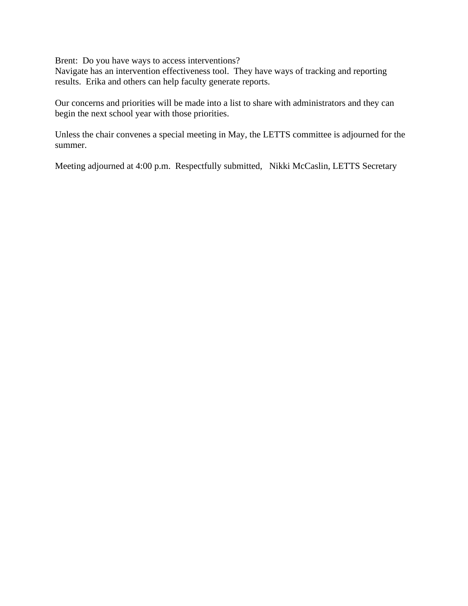Brent: Do you have ways to access interventions?

Navigate has an intervention effectiveness tool. They have ways of tracking and reporting results. Erika and others can help faculty generate reports.

Our concerns and priorities will be made into a list to share with administrators and they can begin the next school year with those priorities.

Unless the chair convenes a special meeting in May, the LETTS committee is adjourned for the summer.

Meeting adjourned at 4:00 p.m. Respectfully submitted, Nikki McCaslin, LETTS Secretary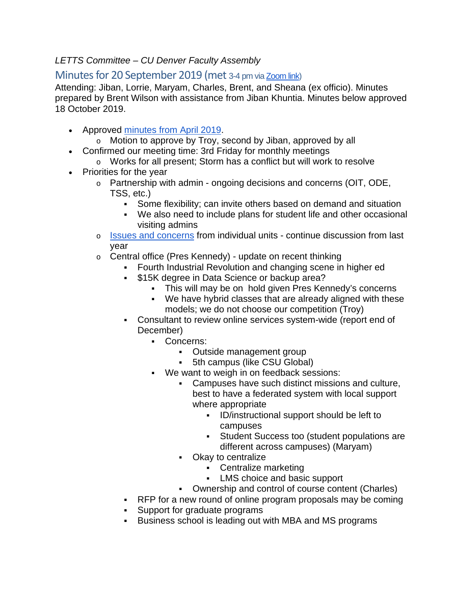## *LETTS Committee – CU Denver Faculty Assembly*

# Minutes for 20 September 2019 (met 3-4 pm vi[a Zoom link\)](https://ucdenver.zoom.us/j/965888514)

Attending: Jiban, Lorrie, Maryam, Charles, Brent, and Sheana (ex officio). Minutes prepared by Brent Wilson with assistance from Jiban Khuntia. Minutes below approved 18 October 2019.

- Approved [minutes from April 2019.](https://docs.google.com/document/d/1iJ3kNWg7s-cXMkeoeHSe7yqjDUjaWPjUFJTm9We1Hw4/edit?usp=sharing)
	- o Motion to approve by Troy, second by Jiban, approved by all
- Confirmed our meeting time: 3rd Friday for monthly meetings
- o Works for all present; Storm has a conflict but will work to resolve
- Priorities for the year
	- o Partnership with admin ongoing decisions and concerns (OIT, ODE, TSS, etc.)
		- Some flexibility; can invite others based on demand and situation
		- We also need to include plans for student life and other occasional visiting admins
	- o [Issues and concerns](https://docs.google.com/document/d/1cvprSHh4t1rFoVe5Q9InxBbuVNkPrAGFLDFB-zEAZjg/edit?usp=sharing) from individual units continue discussion from last year
	- o Central office (Pres Kennedy) update on recent thinking
		- Fourth Industrial Revolution and changing scene in higher ed
		- **\$15K degree in Data Science or backup area?** 
			- This will may be on hold given Pres Kennedy's concerns
			- We have hybrid classes that are already aligned with these models; we do not choose our competition (Troy)
		- Consultant to review online services system-wide (report end of December)
			- Concerns:
				- Outside management group
				- 5th campus (like CSU Global)
			- We want to weigh in on feedback sessions:
				- Campuses have such distinct missions and culture, best to have a federated system with local support where appropriate
					- **ID/instructional support should be left to** campuses
					- Student Success too (student populations are different across campuses) (Maryam)
				- Okay to centralize
					- Centralize marketing
					- **LMS** choice and basic support
				- Ownership and control of course content (Charles)
		- **RFP** for a new round of online program proposals may be coming
		- Support for graduate programs
		- Business school is leading out with MBA and MS programs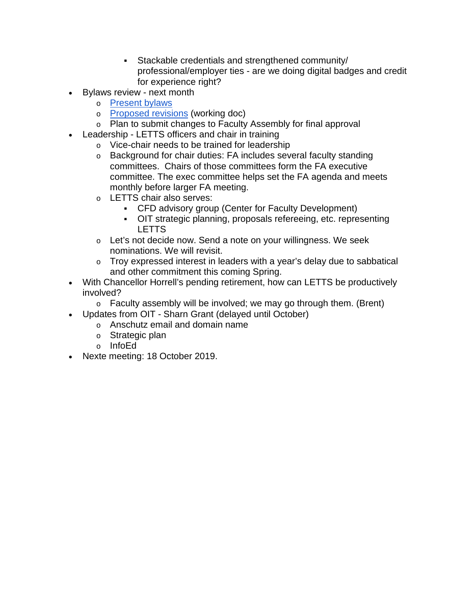- Stackable credentials and strengthened community/ professional/employer ties - are we doing digital badges and credit for experience right?
- Bylaws review next month
	- o [Present bylaws](https://drive.google.com/file/d/13zOOHz-IFQk4ovM5cSOxJM_rkEA1YlJP/view?usp=sharing)
	- o [Proposed revisions](https://docs.google.com/document/d/1DVIyuk4M-ljdVWxI_zWNOr7C_qCu2gO8XApPFXGHvbA/edit) (working doc)
	- o Plan to submit changes to Faculty Assembly for final approval
	- Leadership LETTS officers and chair in training
		- o Vice-chair needs to be trained for leadership
		- o Background for chair duties: FA includes several faculty standing committees. Chairs of those committees form the FA executive committee. The exec committee helps set the FA agenda and meets monthly before larger FA meeting.
		- o LETTS chair also serves:
			- CFD advisory group (Center for Faculty Development)
			- OIT strategic planning, proposals refereeing, etc. representing LETTS
		- o Let's not decide now. Send a note on your willingness. We seek nominations. We will revisit.
		- o Troy expressed interest in leaders with a year's delay due to sabbatical and other commitment this coming Spring.
- With Chancellor Horrell's pending retirement, how can LETTS be productively involved?
	- $\circ$  Faculty assembly will be involved; we may go through them. (Brent)
- Updates from OIT Sharn Grant (delayed until October)
	- o Anschutz email and domain name
		- o Strategic plan
		- o InfoEd
- Nexte meeting: 18 October 2019.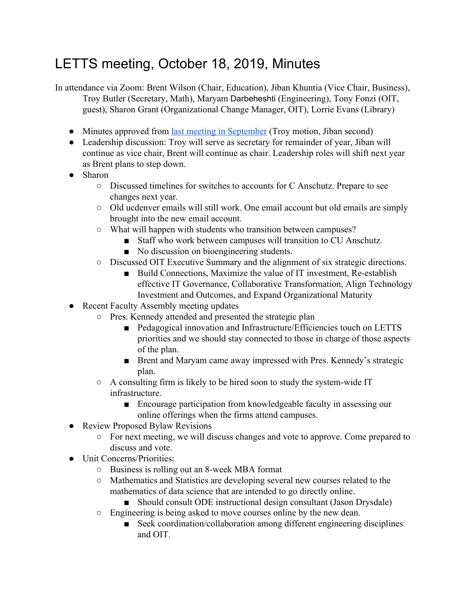# LETTS meeting, October 18, 2019, Minutes

In attendance via Zoom: Brent Wilson (Chair, Education), Jiban Khuntia (Vice Chair, Business), Troy Butler (Secretary, Math), Maryam Darbeheshti (Engineering), Tony Fonzi (OIT, guest), Sharon Grant (Organizational Change Manager, OIT), Lorrie Evans (Library)

- Minutes approved from [last meeting in September](https://docs.google.com/document/d/1xq_LYhX63vF0Ts1wq3AFkQWWZ6U--m6t8Dcdebd5rPo/) (Troy motion, Jiban second)
- Leadership discussion: Troy will serve as secretary for remainder of year, Jiban will continue as vice chair, Brent will continue as chair. Leadership roles will shift next year as Brent plans to step down.
- Sharon
	- Discussed timelines for switches to accounts for C Anschutz. Prepare to see changes next year.
	- Old ucdenver emails will still work. One email account but old emails are simply brought into the new email account.
	- What will happen with students who transition between campuses?
		- Staff who work between campuses will transition to CU Anschutz.
		- No discussion on bioengineering students.
	- Discussed OIT Executive Summary and the alignment of six strategic directions.
		- Build Connections, Maximize the value of IT investment, Re-establish effective IT Governance, Collaborative Transformation, Align Technology Investment and Outcomes, and Expand Organizational Maturity
- Recent Faculty Assembly meeting updates
	- Pres. Kennedy attended and presented the strategic plan
		- Pedagogical innovation and Infrastructure/Efficiencies touch on LETTS priorities and we should stay connected to those in charge of those aspects of the plan.
		- Brent and Maryam came away impressed with Pres. Kennedy's strategic plan.
	- A consulting firm is likely to be hired soon to study the system-wide IT infrastructure.
		- Encourage participation from knowledgeable faculty in assessing our online offerings when the firms attend campuses.
- Review Proposed Bylaw Revisions
	- For next meeting, we will discuss changes and vote to approve. Come prepared to discuss and vote.
- Unit Concerns/Priorities:
	- Business is rolling out an 8-week MBA format
	- Mathematics and Statistics are developing several new courses related to the mathematics of data science that are intended to go directly online.
		- Should consult ODE instructional design consultant (Jason Drysdale)
	- Engineering is being asked to move courses online by the new dean.
		- Seek coordination/collaboration among different engineering disciplines and OIT.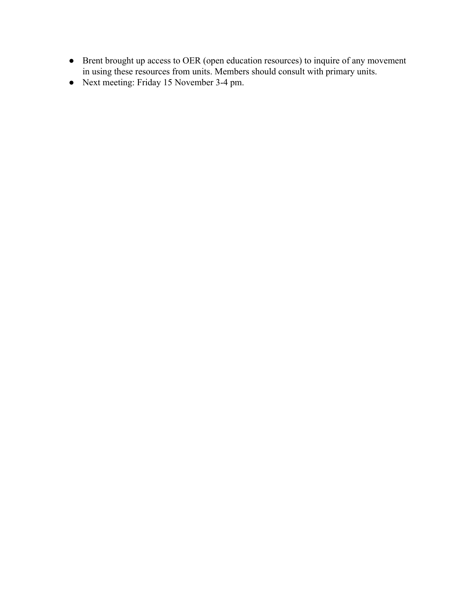- Brent brought up access to OER (open education resources) to inquire of any movement in using these resources from units. Members should consult with primary units.
- Next meeting: Friday 15 November 3-4 pm.